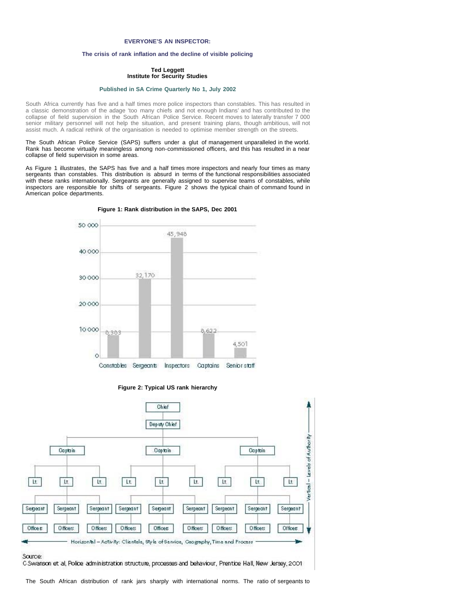# **EVERYONE'S AN INSPECTOR:**

## **The crisis of rank inflation and the decline of visible policing**

## **Ted Leggett Institute for Security Studies**

### **[Published in SA Crime Quarterly No 1, July 2002](file:///Volumes/ISS%20Website/issafrica.org%202007-05-31/CrimeQ/No.1/Contents.html)**

South Africa currently has five and a half times more police inspectors than constables. This has resulted in a classic demonstration of the adage 'too many chiefs and not enough Indians' and has contributed to the collapse of field supervision in the South African Police Service. Recent moves to laterally transfer 7 000 senior military personnel will not help the situation, and present training plans, though ambitious, will not assist much. A radical rethink of the organisation is needed to optimise member strength on the streets.

The South African Police Service (SAPS) suffers under a glut of management unparalleled in the world. Rank has become virtually meaningless among non-commissioned officers, and this has resulted in a near collapse of field supervision in some areas.

As Figure 1 illustrates, the SAPS has five and a half times more inspectors and nearly four times as many sergeants than constables. This distribution is absurd in terms of the functional responsibilities associated with these ranks internationally. Sergeants are generally assigned to supervise teams of constables, while inspectors are responsible for shifts of sergeants. Figure 2 shows the typical chain of command found in American police departments.



# **Figure 1: Rank distribution in the SAPS, Dec 2001**



**Figure 2: Typical US rank hierarchy**

C Swanson et al, Police administration structure, processes and behaviour, Prentice Hall, New Jersey, 2001

The South African distribution of rank jars sharply with international norms. The ratio of sergeants to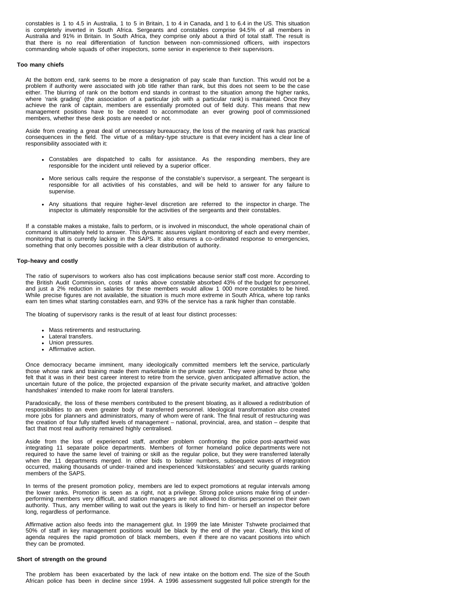constables is 1 to 4.5 in Australia, 1 to 5 in Britain, 1 to 4 in Canada, and 1 to 6.4 in the US. This situation is completely inverted in South Africa. Sergeants and constables comprise 94.5% of all members in Australia and 91% in Britain. In South Africa, they comprise only about a third of total staff. The result is that there is no real differentiation of function between non-commissioned officers, with inspectors commanding whole squads of other inspectors, some senior in experience to their supervisors.

### **Too many chiefs**

At the bottom end, rank seems to be more a designation of pay scale than function. This would not be a problem if authority were associated with job title rather than rank, but this does not seem to be the case either. The blurring of rank on the bottom end stands in contrast to the situation among the higher ranks, where 'rank grading' (the association of a particular job with a particular rank) is maintained. Once they achieve the rank of captain, members are essentially promoted out of field duty. This means that new management positions have to be created to accommodate an ever growing pool of commissioned members, whether these desk posts are needed or not.

Aside from creating a great deal of unnecessary bureaucracy, the loss of the meaning of rank has practical consequences in the field. The virtue of a military-type structure is that every incident has a clear line of responsibility associated with it:

- Constables are dispatched to calls for assistance. As the responding members, they are responsible for the incident until relieved by a superior officer.
- More serious calls require the response of the constable's supervisor, a sergeant. The sergeant is responsible for all activities of his constables, and will be held to answer for any failure to supervise.
- Any situations that require higher-level discretion are referred to the inspector in charge. The inspector is ultimately responsible for the activities of the sergeants and their constables.

If a constable makes a mistake, fails to perform, or is involved in misconduct, the whole operational chain of command is ultimately held to answer. This dynamic assures vigilant monitoring of each and every member, monitoring that is currently lacking in the SAPS. It also ensures a co-ordinated response to emergencies, something that only becomes possible with a clear distribution of authority.

### **Top-heavy and costly**

The ratio of supervisors to workers also has cost implications because senior staff cost more. According to the British Audit Commission, costs of ranks above constable absorbed 43% of the budget for personnel, and just a 2% reduction in salaries for these members would allow 1 000 more constables to be hired. While precise figures are not available, the situation is much more extreme in South Africa, where top ranks earn ten times what starting constables earn, and 93% of the service has a rank higher than constable.

The bloating of supervisory ranks is the result of at least four distinct processes:

- Mass retirements and restructuring.
- Lateral transfers.
- Union pressures. Affirmative action.
- 

Once democracy became imminent, many ideologically committed members left the service, particularly those whose rank and training made them marketable in the private sector. They were joined by those who felt that it was in their best career interest to retire from the service, given anticipated affirmative action, the uncertain future of the police, the projected expansion of the private security market, and attractive 'golden handshakes' intended to make room for lateral transfers.

Paradoxically, the loss of these members contributed to the present bloating, as it allowed a redistribution of responsibilities to an even greater body of transferred personnel. Ideological transformation also created more jobs for planners and administrators, many of whom were of rank. The final result of restructuring was the creation of four fully staffed levels of management – national, provincial, area, and station – despite that fact that most real authority remained highly centralised.

Aside from the loss of experienced staff, another problem confronting the police post-apartheid was integrating 11 separate police departments. Members of former homeland police departments were not required to have the same level of training or skill as the regular police, but they were transferred laterally when the 11 departments merged. In other bids to bolster numbers, subsequent waves of integration occurred, making thousands of under-trained and inexperienced 'kitskonstables' and security guards ranking members of the SAPS.

In terms of the present promotion policy, members are led to expect promotions at regular intervals among the lower ranks. Promotion is seen as a right, not a privilege. Strong police unions make firing of underperforming members very difficult, and station managers are not allowed to dismiss personnel on their own authority. Thus, any member willing to wait out the years is likely to find him- or herself an inspector before long, regardless of performance.

Affirmative action also feeds into the management glut. In 1999 the late Minister Tshwete proclaimed that 50% of staff in key management positions would be black by the end of the year. Clearly, this kind of agenda requires the rapid promotion of black members, even if there are no vacant positions into which they can be promoted.

#### **Short of strength on the ground**

The problem has been exacerbated by the lack of new intake on the bottom end. The size of the South African police has been in decline since 1994. A 1996 assessment suggested full police strength for the